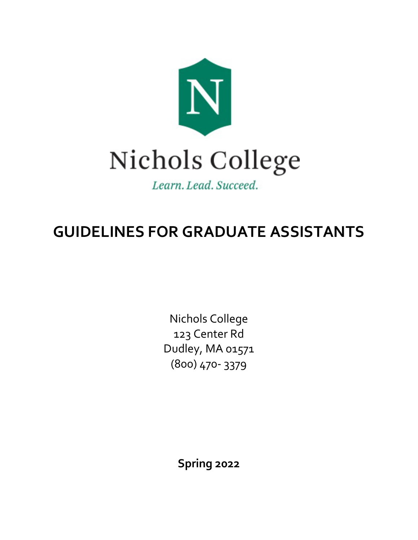

# **GUIDELINES FOR GRADUATE ASSISTANTS**

Nichols College 123 Center Rd Dudley, MA 01571 (800) 470- 3379

**Spring 2022**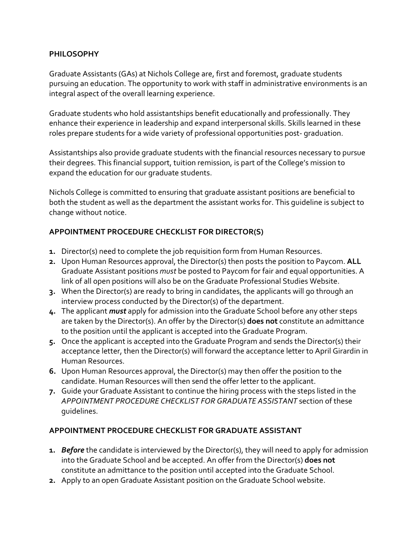# **PHILOSOPHY**

Graduate Assistants (GAs) at Nichols College are, first and foremost, graduate students pursuing an education. The opportunity to work with staff in administrative environments is an integral aspect of the overall learning experience.

Graduate students who hold assistantships benefit educationally and professionally. They enhance their experience in leadership and expand interpersonal skills. Skills learned in these roles prepare students for a wide variety of professional opportunities post- graduation.

Assistantships also provide graduate students with the financial resources necessary to pursue their degrees. This financial support, tuition remission, is part of the College's mission to expand the education for our graduate students.

Nichols College is committed to ensuring that graduate assistant positions are beneficial to both the student as well as the department the assistant works for. This guideline is subject to change without notice.

# **APPOINTMENT PROCEDURE CHECKLIST FOR DIRECTOR(S)**

- **1.** Director(s) need to complete the job requisition form from Human Resources.
- **2.** Upon Human Resources approval, the Director(s) then posts the position to Paycom. **ALL** Graduate Assistant positions *must* be posted to Paycom for fair and equal opportunities. A link of all open positions will also be on the Graduate Professional Studies Website.
- **3.** When the Director(s) are ready to bring in candidates, the applicants will go through an interview process conducted by the Director(s) of the department.
- **4.** The applicant *must* apply for admission into the Graduate School before any other steps are taken by the Director(s). An offer by the Director(s) **does not** constitute an admittance to the position until the applicant is accepted into the Graduate Program.
- **5.** Once the applicant is accepted into the Graduate Program and sends the Director(s) their acceptance letter, then the Director(s) will forward the acceptance letter to April Girardin in Human Resources.
- **6.** Upon Human Resources approval, the Director(s) may then offer the position to the candidate. Human Resources will then send the offer letter to the applicant.
- **7.** Guide your Graduate Assistant to continue the hiring process with the steps listed in the *APPOINTMENT PROCEDURE CHECKLIST FOR GRADUATE ASSISTANT* section of these guidelines.

### **APPOINTMENT PROCEDURE CHECKLIST FOR GRADUATE ASSISTANT**

- **1.** *Before* the candidate is interviewed by the Director(s), they will need to apply for admission into the Graduate School and be accepted. An offer from the Director(s) **does not** constitute an admittance to the position until accepted into the Graduate School.
- **2.** Apply to an open Graduate Assistant position on the Graduate School website.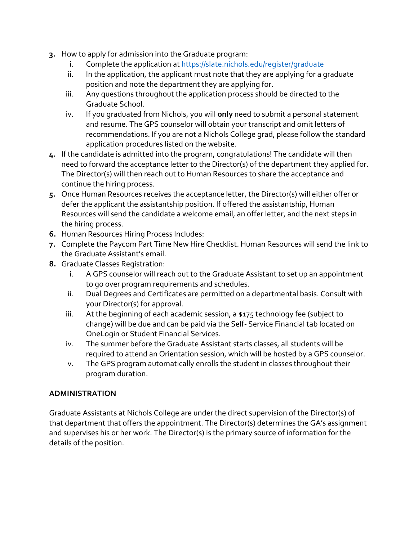- **3.** How to apply for admission into the Graduate program:
	- i. Complete the application at<https://slate.nichols.edu/register/graduate>
	- ii. In the application, the applicant must note that they are applying for a graduate position and note the department they are applying for.
	- iii. Any questions throughout the application process should be directed to the Graduate School.
	- iv. If you graduated from Nichols, you will **only** need to submit a personal statement and resume. The GPS counselor will obtain your transcript and omit letters of recommendations. If you are not a Nichols College grad, please follow the standard application procedures listed on the website.
- **4.** If the candidate is admitted into the program, congratulations! The candidate will then need to forward the acceptance letter to the Director(s) of the department they applied for. The Director(s) will then reach out to Human Resources to share the acceptance and continue the hiring process.
- **5.** Once Human Resources receives the acceptance letter, the Director(s) will either offer or defer the applicant the assistantship position. If offered the assistantship, Human Resources will send the candidate a welcome email, an offer letter, and the next steps in the hiring process.
- **6.** Human Resources Hiring Process Includes:
- **7.** Complete the Paycom Part Time New Hire Checklist. Human Resources will send the link to the Graduate Assistant's email.
- **8.** Graduate Classes Registration:
	- i. A GPS counselor will reach out to the Graduate Assistant to set up an appointment to go over program requirements and schedules.
	- ii. Dual Degrees and Certificates are permitted on a departmental basis. Consult with your Director(s) for approval.
	- iii. At the beginning of each academic session, a \$175 technology fee (subject to change) will be due and can be paid via the Self- Service Financial tab located on OneLogin or Student Financial Services.
	- iv. The summer before the Graduate Assistant starts classes, all students will be required to attend an Orientation session, which will be hosted by a GPS counselor.
	- v. The GPS program automatically enrolls the student in classes throughout their program duration.

# **ADMINISTRATION**

Graduate Assistants at Nichols College are under the direct supervision of the Director(s) of that department that offers the appointment. The Director(s) determines the GA's assignment and supervises his or her work. The Director(s) is the primary source of information for the details of the position.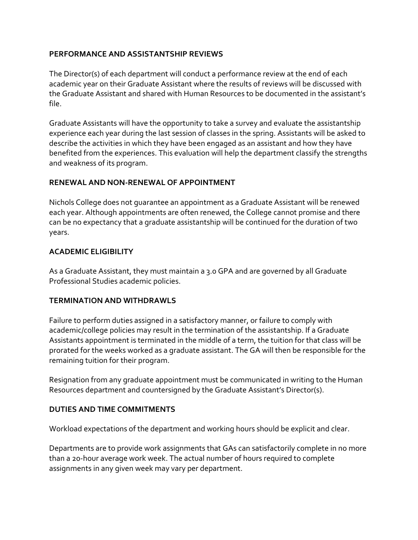# **PERFORMANCE AND ASSISTANTSHIP REVIEWS**

The Director(s) of each department will conduct a performance review at the end of each academic year on their Graduate Assistant where the results of reviews will be discussed with the Graduate Assistant and shared with Human Resources to be documented in the assistant's file.

Graduate Assistants will have the opportunity to take a survey and evaluate the assistantship experience each year during the last session of classes in the spring. Assistants will be asked to describe the activities in which they have been engaged as an assistant and how they have benefited from the experiences. This evaluation will help the department classify the strengths and weakness of its program.

# **RENEWAL AND NON-RENEWAL OF APPOINTMENT**

Nichols College does not guarantee an appointment as a Graduate Assistant will be renewed each year. Although appointments are often renewed, the College cannot promise and there can be no expectancy that a graduate assistantship will be continued for the duration of two years.

# **ACADEMIC ELIGIBILITY**

As a Graduate Assistant, they must maintain a 3.0 GPA and are governed by all Graduate Professional Studies academic policies.

### **TERMINATION AND WITHDRAWLS**

Failure to perform duties assigned in a satisfactory manner, or failure to comply with academic/college policies may result in the termination of the assistantship. If a Graduate Assistants appointment is terminated in the middle of a term, the tuition for that class will be prorated for the weeks worked as a graduate assistant. The GA will then be responsible for the remaining tuition for their program.

Resignation from any graduate appointment must be communicated in writing to the Human Resources department and countersigned by the Graduate Assistant's Director(s).

# **DUTIES AND TIME COMMITMENTS**

Workload expectations of the department and working hours should be explicit and clear.

Departments are to provide work assignments that GAs can satisfactorily complete in no more than a 20-hour average work week. The actual number of hours required to complete assignments in any given week may vary per department.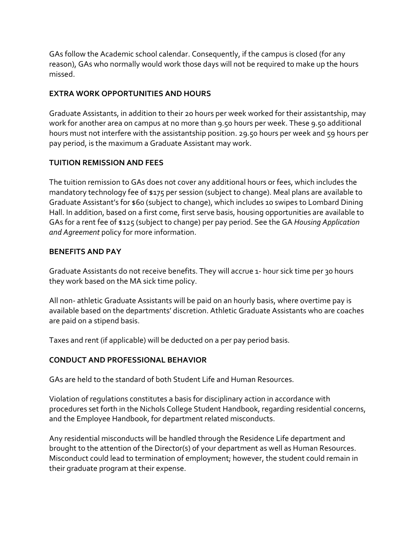GAs follow the Academic school calendar. Consequently, if the campus is closed (for any reason), GAs who normally would work those days will not be required to make up the hours missed.

# **EXTRA WORK OPPORTUNITIES AND HOURS**

Graduate Assistants, in addition to their 20 hours per week worked for their assistantship, may work for another area on campus at no more than 9.50 hours per week. These 9.50 additional hours must not interfere with the assistantship position. 29.50 hours per week and 59 hours per pay period, is the maximum a Graduate Assistant may work.

# **TUITION REMISSION AND FEES**

The tuition remission to GAs does not cover any additional hours or fees, which includes the mandatory technology fee of \$175 per session (subject to change). Meal plans are available to Graduate Assistant's for \$60 (subject to change), which includes 10 swipes to Lombard Dining Hall. In addition, based on a first come, first serve basis, housing opportunities are available to GAs for a rent fee of \$125 (subject to change) per pay period. See the GA *Housing Application and Agreement* policy for more information.

# **BENEFITS AND PAY**

Graduate Assistants do not receive benefits. They will accrue 1- hour sick time per 30 hours they work based on the MA sick time policy.

All non- athletic Graduate Assistants will be paid on an hourly basis, where overtime pay is available based on the departments' discretion. Athletic Graduate Assistants who are coaches are paid on a stipend basis.

Taxes and rent (if applicable) will be deducted on a per pay period basis.

# **CONDUCT AND PROFESSIONAL BEHAVIOR**

GAs are held to the standard of both Student Life and Human Resources.

Violation of regulations constitutes a basis for disciplinary action in accordance with procedures set forth in the Nichols College Student Handbook, regarding residential concerns, and the Employee Handbook, for department related misconducts.

Any residential misconducts will be handled through the Residence Life department and brought to the attention of the Director(s) of your department as well as Human Resources. Misconduct could lead to termination of employment; however, the student could remain in their graduate program at their expense.